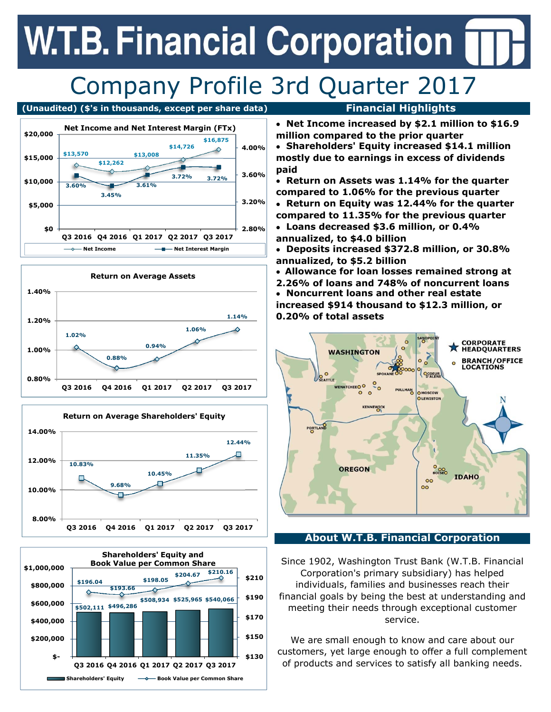# **W.T.B. Financial Corporation**

### Company Profile 3rd Quarter 2017

#### **(Unaudited) (\$'s in thousands, except per share data) Financial Highlights**









- **Net Income increased by \$2.1 million to \$16.9 million compared to the prior quarter**
- **Shareholders' Equity increased \$14.1 million mostly due to earnings in excess of dividends paid**
- **Return on Assets was 1.14% for the quarter compared to 1.06% for the previous quarter**
- **Return on Equity was 12.44% for the quarter compared to 11.35% for the previous quarter**
- **Loans decreased \$3.6 million, or 0.4% annualized, to \$4.0 billion**
- **Deposits increased \$372.8 million, or 30.8% annualized, to \$5.2 billion**
- **Allowance for loan losses remained strong at**
- **2.26% of loans and 748% of noncurrent loans Noncurrent loans and other real estate increased \$914 thousand to \$12.3 million, or 0.20% of total assets**



### **About W.T.B. Financial Corporation**

Since 1902, Washington Trust Bank (W.T.B. Financial Corporation's primary subsidiary) has helped individuals, families and businesses reach their financial goals by being the best at understanding and meeting their needs through exceptional customer service.

We are small enough to know and care about our customers, yet large enough to offer a full complement of products and services to satisfy all banking needs.